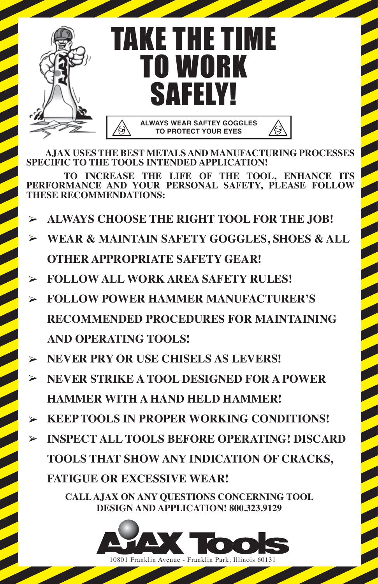

 **AJAX USES THE BEST METALS AND MANUFACTURING PROCESSES SPECIFIC TO THE TOOLS INTENDED APPLICATION!**

 **TO INCREASE THE LIFE OF THE TOOL, ENHANCE ITS PERFORMANCE AND YOUR PERSONAL SAFETY, PLEASE FOLLOW THESE RECOMMENDATIONS:**

- **ALWAYS CHOOSE THE RIGHT TOOL FOR THE JOB!**  $\blacktriangleright$
- **WEAR & MAINTAIN SAFETY GOGGLES, SHOES & ALL OTHER APPROPRIATE SAFETY GEAR!**
- **FOLLOW ALL WORK AREA SAFETY RULES!**
- **FOLLOW POWER HAMMER MANUFACTURER'S RECOMMENDED PROCEDURES FOR MAINTAINING AND OPERATING TOOLS!**
- **NEVER PRY OR USE CHISELS AS LEVERS!**
- **NEVER STRIKE A TOOL DESIGNED FOR A POWER HAMMER WITH A HAND HELD HAMMER!**
- **KEEP TOOLS IN PROPER WORKING CONDITIONS!**  $\blacktriangleright$
- **INSPECT ALL TOOLS BEFORE OPERATING! DISCARD TOOLS THAT SHOW ANY INDICATION OF CRACKS, FATIGUE OR EXCESSIVE WEAR!**

**CALL AJAX ON ANY QUESTIONS CONCERNING TOOL DESIGN AND APPLICATION! 800.323.9129**



10801 Franklin Avenue - Franklin Park, Illinois 60131